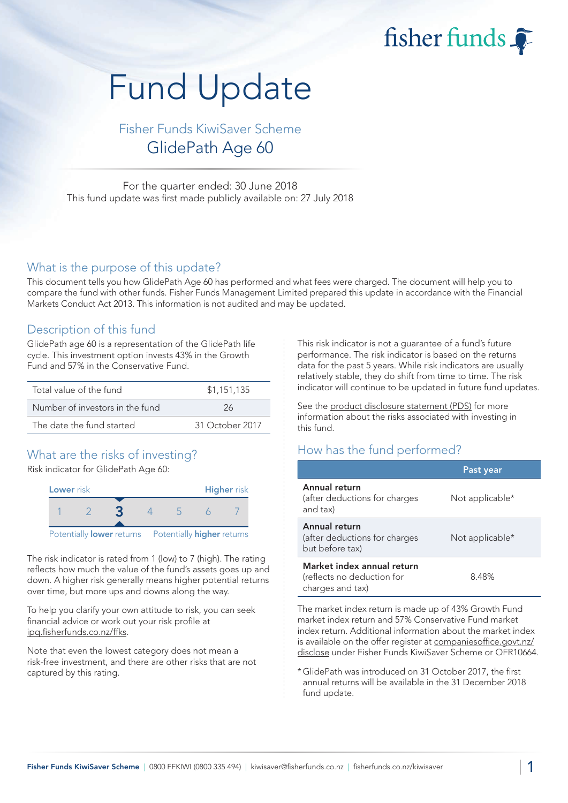fisher funds

# Fund Update

Fisher Funds KiwiSaver Scheme GlidePath Age 60

For the quarter ended: 30 June 2018 This fund update was first made publicly available on: 27 July 2018

#### What is the purpose of this update?

This document tells you how GlidePath Age 60 has performed and what fees were charged. The document will help you to compare the fund with other funds. Fisher Funds Management Limited prepared this update in accordance with the Financial Markets Conduct Act 2013. This information is not audited and may be updated.

#### Description of this fund

GlidePath age 60 is a representation of the GlidePath life cycle. This investment option invests 43% in the Growth Fund and 57% in the Conservative Fund.

| Total value of the fund         | \$1,151,135     |
|---------------------------------|-----------------|
| Number of investors in the fund | 26              |
| The date the fund started       | 31 October 2017 |

## What are the risks of investing?

Risk indicator for GlidePath Age 60:



The risk indicator is rated from 1 (low) to 7 (high). The rating reflects how much the value of the fund's assets goes up and down. A higher risk generally means higher potential returns over time, but more ups and downs along the way.

To help you clarify your own attitude to risk, you can seek financial advice or work out your risk profile at [ipq.fisherfunds.co.nz/ffks.](https://ipq.fisherfunds.co.nz/ffks)

Note that even the lowest category does not mean a risk-free investment, and there are other risks that are not captured by this rating.

This risk indicator is not a guarantee of a fund's future performance. The risk indicator is based on the returns data for the past 5 years. While risk indicators are usually relatively stable, they do shift from time to time. The risk indicator will continue to be updated in future fund updates.

See the [product disclosure statement \(PDS\)](https://fisherfunds.co.nz/assets/PDS/Fisher-Funds-KiwiSaver-Scheme-PDS.pdf) for more information about the risks associated with investing in this fund.

### How has the fund performed?

|                                                                              | Past year       |
|------------------------------------------------------------------------------|-----------------|
| Annual return<br>(after deductions for charges<br>and tax)                   | Not applicable* |
| Annual return<br>(after deductions for charges<br>but before tax)            | Not applicable* |
| Market index annual return<br>(reflects no deduction for<br>charges and tax) | 8.48%           |

The market index return is made up of 43% Growth Fund market index return and 57% Conservative Fund market index return. Additional information about the market index is available on the offer register at [companiesoffice.govt.nz/](http://companiesoffice.govt.nz/disclose) [disclose](http://companiesoffice.govt.nz/disclose) under Fisher Funds KiwiSaver Scheme or OFR10664.

\*GlidePath was introduced on 31 October 2017, the first annual returns will be available in the 31 December 2018 fund update.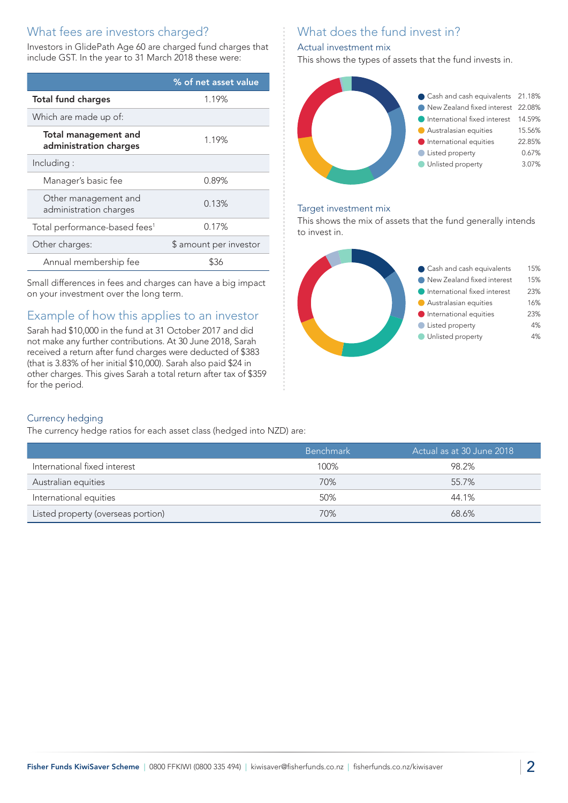## What fees are investors charged?

Investors in GlidePath Age 60 are charged fund charges that include GST. In the year to 31 March 2018 these were:

|                                                       | % of net asset value   |
|-------------------------------------------------------|------------------------|
| <b>Total fund charges</b>                             | 1.19%                  |
| Which are made up of:                                 |                        |
| <b>Total management and</b><br>administration charges | 1.19%                  |
| Including:                                            |                        |
| Manager's basic fee                                   | 0.89%                  |
| Other management and<br>administration charges        | 0.13%                  |
| Total performance-based fees <sup>1</sup>             | 0.17%                  |
| Other charges:                                        | \$ amount per investor |
| Annual membership fee                                 | ፍ36                    |

Small differences in fees and charges can have a big impact on your investment over the long term.

# Example of how this applies to an investor

Sarah had \$10,000 in the fund at 31 October 2017 and did not make any further contributions. At 30 June 2018, Sarah received a return after fund charges were deducted of \$383 (that is 3.83% of her initial \$10,000). Sarah also paid \$24 in other charges. This gives Sarah a total return after tax of \$359 for the period.

# What does the fund invest in?

#### Actual investment mix

This shows the types of assets that the fund invests in.



#### Target investment mix

This shows the mix of assets that the fund generally intends to invest in.



#### Currency hedging

The currency hedge ratios for each asset class (hedged into NZD) are:

|                                    | <b>Benchmark</b> | ' Actual as at 30 June 2018 , |
|------------------------------------|------------------|-------------------------------|
|                                    |                  |                               |
| International fixed interest       | 100%             | 98.2%                         |
| Australian equities                | 70%              | 55.7%                         |
| International equities             | 50%              | 44.1%                         |
| Listed property (overseas portion) | 70%              | 68.6%                         |